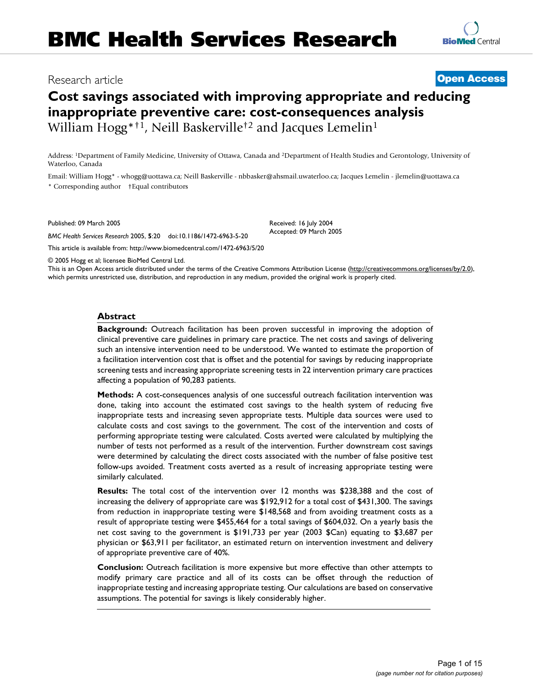# Research article **[Open Access](http://www.biomedcentral.com/info/about/charter/)**

# **Cost savings associated with improving appropriate and reducing inappropriate preventive care: cost-consequences analysis** William Hogg<sup>\*†1</sup>, Neill Baskerville<sup>†2</sup> and Jacques Lemelin<sup>1</sup>

Address: 1Department of Family Medicine, University of Ottawa, Canada and 2Department of Health Studies and Gerontology, University of Waterloo, Canada

Email: William Hogg\* - whogg@uottawa.ca; Neill Baskerville - nbbasker@ahsmail.uwaterloo.ca; Jacques Lemelin - jlemelin@uottawa.ca \* Corresponding author †Equal contributors

Published: 09 March 2005

*BMC Health Services Research* 2005, **5**:20 doi:10.1186/1472-6963-5-20

[This article is available from: http://www.biomedcentral.com/1472-6963/5/20](http://www.biomedcentral.com/1472-6963/5/20)

© 2005 Hogg et al; licensee BioMed Central Ltd.

This is an Open Access article distributed under the terms of the Creative Commons Attribution License [\(http://creativecommons.org/licenses/by/2.0\)](http://creativecommons.org/licenses/by/2.0), which permits unrestricted use, distribution, and reproduction in any medium, provided the original work is properly cited.

# **Abstract**

**Background:** Outreach facilitation has been proven successful in improving the adoption of clinical preventive care guidelines in primary care practice. The net costs and savings of delivering such an intensive intervention need to be understood. We wanted to estimate the proportion of a facilitation intervention cost that is offset and the potential for savings by reducing inappropriate screening tests and increasing appropriate screening tests in 22 intervention primary care practices affecting a population of 90,283 patients.

**Methods:** A cost-consequences analysis of one successful outreach facilitation intervention was done, taking into account the estimated cost savings to the health system of reducing five inappropriate tests and increasing seven appropriate tests. Multiple data sources were used to calculate costs and cost savings to the government. The cost of the intervention and costs of performing appropriate testing were calculated. Costs averted were calculated by multiplying the number of tests not performed as a result of the intervention. Further downstream cost savings were determined by calculating the direct costs associated with the number of false positive test follow-ups avoided. Treatment costs averted as a result of increasing appropriate testing were similarly calculated.

**Results:** The total cost of the intervention over 12 months was \$238,388 and the cost of increasing the delivery of appropriate care was \$192,912 for a total cost of \$431,300. The savings from reduction in inappropriate testing were \$148,568 and from avoiding treatment costs as a result of appropriate testing were \$455,464 for a total savings of \$604,032. On a yearly basis the net cost saving to the government is \$191,733 per year (2003 \$Can) equating to \$3,687 per physician or \$63,911 per facilitator, an estimated return on intervention investment and delivery of appropriate preventive care of 40%.

**Conclusion:** Outreach facilitation is more expensive but more effective than other attempts to modify primary care practice and all of its costs can be offset through the reduction of inappropriate testing and increasing appropriate testing. Our calculations are based on conservative assumptions. The potential for savings is likely considerably higher.

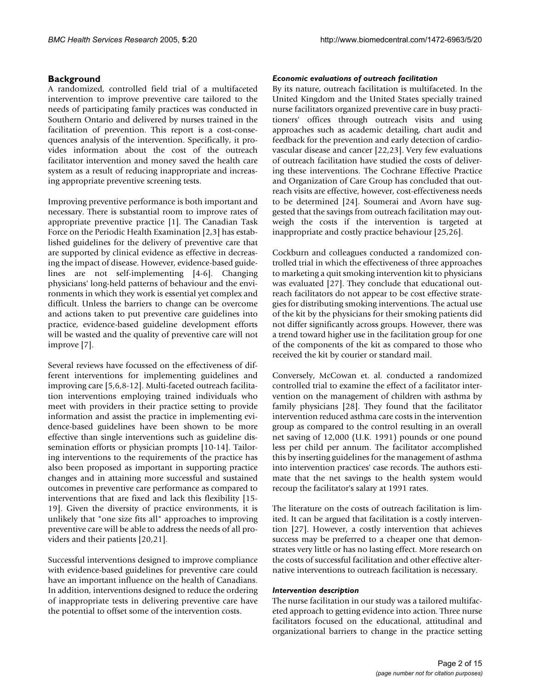# **Background**

A randomized, controlled field trial of a multifaceted intervention to improve preventive care tailored to the needs of participating family practices was conducted in Southern Ontario and delivered by nurses trained in the facilitation of prevention. This report is a cost-consequences analysis of the intervention. Specifically, it provides information about the cost of the outreach facilitator intervention and money saved the health care system as a result of reducing inappropriate and increasing appropriate preventive screening tests.

Improving preventive performance is both important and necessary. There is substantial room to improve rates of appropriate preventive practice [1]. The Canadian Task Force on the Periodic Health Examination [2,3] has established guidelines for the delivery of preventive care that are supported by clinical evidence as effective in decreasing the impact of disease. However, evidence-based guidelines are not self-implementing [4-6]. Changing physicians' long-held patterns of behaviour and the environments in which they work is essential yet complex and difficult. Unless the barriers to change can be overcome and actions taken to put preventive care guidelines into practice, evidence-based guideline development efforts will be wasted and the quality of preventive care will not improve [7].

Several reviews have focussed on the effectiveness of different interventions for implementing guidelines and improving care [5,6,8-12]. Multi-faceted outreach facilitation interventions employing trained individuals who meet with providers in their practice setting to provide information and assist the practice in implementing evidence-based guidelines have been shown to be more effective than single interventions such as guideline dissemination efforts or physician prompts [10-14]. Tailoring interventions to the requirements of the practice has also been proposed as important in supporting practice changes and in attaining more successful and sustained outcomes in preventive care performance as compared to interventions that are fixed and lack this flexibility [15- 19]. Given the diversity of practice environments, it is unlikely that "one size fits all" approaches to improving preventive care will be able to address the needs of all providers and their patients [20,21].

Successful interventions designed to improve compliance with evidence-based guidelines for preventive care could have an important influence on the health of Canadians. In addition, interventions designed to reduce the ordering of inappropriate tests in delivering preventive care have the potential to offset some of the intervention costs.

#### *Economic evaluations of outreach facilitation*

By its nature, outreach facilitation is multifaceted. In the United Kingdom and the United States specially trained nurse facilitators organized preventive care in busy practitioners' offices through outreach visits and using approaches such as academic detailing, chart audit and feedback for the prevention and early detection of cardiovascular disease and cancer [22,23]. Very few evaluations of outreach facilitation have studied the costs of delivering these interventions. The Cochrane Effective Practice and Organization of Care Group has concluded that outreach visits are effective, however, cost-effectiveness needs to be determined [24]. Soumerai and Avorn have suggested that the savings from outreach facilitation may outweigh the costs if the intervention is targeted at inappropriate and costly practice behaviour [25,26].

Cockburn and colleagues conducted a randomized controlled trial in which the effectiveness of three approaches to marketing a quit smoking intervention kit to physicians was evaluated [27]. They conclude that educational outreach facilitators do not appear to be cost effective strategies for distributing smoking interventions. The actual use of the kit by the physicians for their smoking patients did not differ significantly across groups. However, there was a trend toward higher use in the facilitation group for one of the components of the kit as compared to those who received the kit by courier or standard mail.

Conversely, McCowan et. al. conducted a randomized controlled trial to examine the effect of a facilitator intervention on the management of children with asthma by family physicians [28]. They found that the facilitator intervention reduced asthma care costs in the intervention group as compared to the control resulting in an overall net saving of 12,000 (U.K. 1991) pounds or one pound less per child per annum. The facilitator accomplished this by inserting guidelines for the management of asthma into intervention practices' case records. The authors estimate that the net savings to the health system would recoup the facilitator's salary at 1991 rates.

The literature on the costs of outreach facilitation is limited. It can be argued that facilitation is a costly intervention [27]. However, a costly intervention that achieves success may be preferred to a cheaper one that demonstrates very little or has no lasting effect. More research on the costs of successful facilitation and other effective alternative interventions to outreach facilitation is necessary.

#### *Intervention description*

The nurse facilitation in our study was a tailored multifaceted approach to getting evidence into action. Three nurse facilitators focused on the educational, attitudinal and organizational barriers to change in the practice setting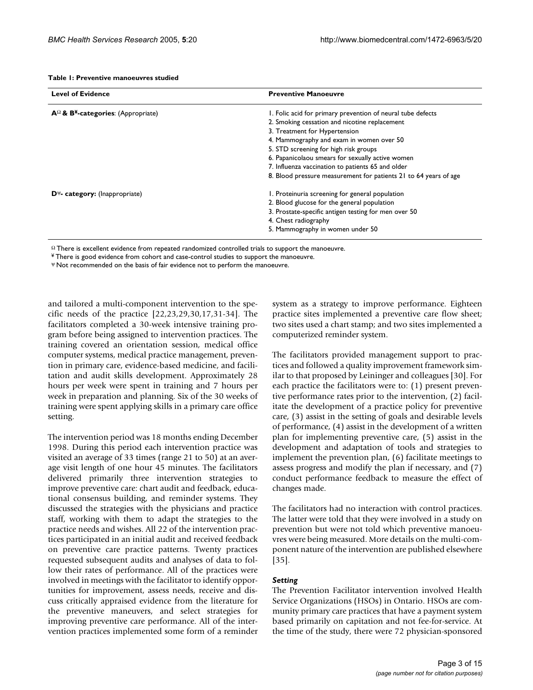| <b>Level of Evidence</b>                                 | <b>Preventive Manoeuvre</b>                                      |
|----------------------------------------------------------|------------------------------------------------------------------|
| $A^{\Omega}$ & B <sup>*</sup> -categories: (Appropriate) | I. Folic acid for primary prevention of neural tube defects      |
|                                                          | 2. Smoking cessation and nicotine replacement                    |
|                                                          | 3. Treatment for Hypertension                                    |
|                                                          | 4. Mammography and exam in women over 50                         |
|                                                          | 5. STD screening for high risk groups                            |
|                                                          | 6. Papanicolaou smears for sexually active women                 |
|                                                          | 7. Influenza vaccination to patients 65 and older                |
|                                                          | 8. Blood pressure measurement for patients 21 to 64 years of age |
| $D^{\psi}$ - category: (Inappropriate)                   | I. Proteinuria screening for general population                  |
|                                                          | 2. Blood glucose for the general population                      |
|                                                          | 3. Prostate-specific antigen testing for men over 50             |
|                                                          | 4. Chest radiography                                             |
|                                                          | 5. Mammography in women under 50                                 |

<span id="page-2-0"></span>**Table 1: Preventive manoeuvres studied**

 $\Omega$  There is excellent evidence from repeated randomized controlled trials to support the manoeuvre.

¥ There is good evidence from cohort and case-control studies to support the manoeuvre.

<sup>ψ</sup> Not recommended on the basis of fair evidence not to perform the manoeuvre.

and tailored a multi-component intervention to the specific needs of the practice [22,23,29,30,17,31-34]. The facilitators completed a 30-week intensive training program before being assigned to intervention practices. The training covered an orientation session, medical office computer systems, medical practice management, prevention in primary care, evidence-based medicine, and facilitation and audit skills development. Approximately 28 hours per week were spent in training and 7 hours per week in preparation and planning. Six of the 30 weeks of training were spent applying skills in a primary care office setting.

The intervention period was 18 months ending December 1998. During this period each intervention practice was visited an average of 33 times (range 21 to 50) at an average visit length of one hour 45 minutes. The facilitators delivered primarily three intervention strategies to improve preventive care: chart audit and feedback, educational consensus building, and reminder systems. They discussed the strategies with the physicians and practice staff, working with them to adapt the strategies to the practice needs and wishes. All 22 of the intervention practices participated in an initial audit and received feedback on preventive care practice patterns. Twenty practices requested subsequent audits and analyses of data to follow their rates of performance. All of the practices were involved in meetings with the facilitator to identify opportunities for improvement, assess needs, receive and discuss critically appraised evidence from the literature for the preventive maneuvers, and select strategies for improving preventive care performance. All of the intervention practices implemented some form of a reminder system as a strategy to improve performance. Eighteen practice sites implemented a preventive care flow sheet; two sites used a chart stamp; and two sites implemented a computerized reminder system.

The facilitators provided management support to practices and followed a quality improvement framework similar to that proposed by Leininger and colleagues [30]. For each practice the facilitators were to: (1) present preventive performance rates prior to the intervention, (2) facilitate the development of a practice policy for preventive care, (3) assist in the setting of goals and desirable levels of performance, (4) assist in the development of a written plan for implementing preventive care, (5) assist in the development and adaptation of tools and strategies to implement the prevention plan, (6) facilitate meetings to assess progress and modify the plan if necessary, and (7) conduct performance feedback to measure the effect of changes made.

The facilitators had no interaction with control practices. The latter were told that they were involved in a study on prevention but were not told which preventive manoeuvres were being measured. More details on the multi-component nature of the intervention are published elsewhere [35].

#### *Setting*

The Prevention Facilitator intervention involved Health Service Organizations (HSOs) in Ontario. HSOs are community primary care practices that have a payment system based primarily on capitation and not fee-for-service. At the time of the study, there were 72 physician-sponsored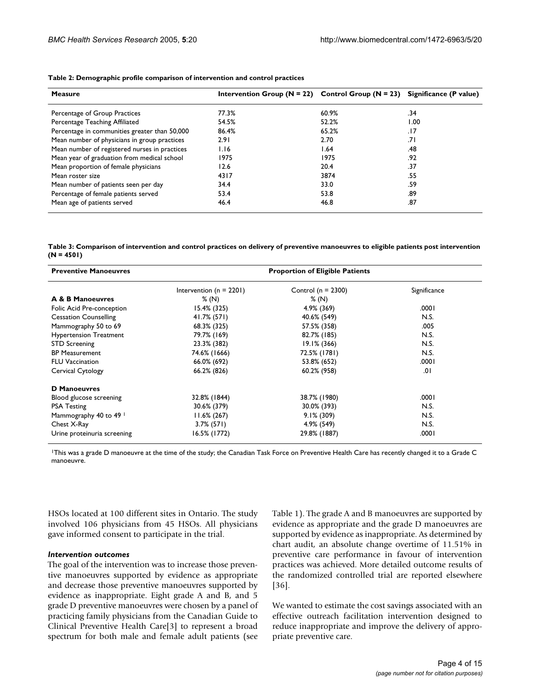| <b>Measure</b>                                | Intervention Group ( $N = 22$ ) Control Group ( $N = 23$ ) Significance (P value) |       |      |
|-----------------------------------------------|-----------------------------------------------------------------------------------|-------|------|
| Percentage of Group Practices                 | 77.3%                                                                             | 60.9% | .34  |
| Percentage Teaching Affiliated                | 54.5%                                                                             | 52.2% | 1.00 |
| Percentage in communities greater than 50,000 | 86.4%                                                                             | 65.2% | .17  |
| Mean number of physicians in group practices  | 2.91                                                                              | 2.70  | ا7.  |
| Mean number of registered nurses in practices | 1.16                                                                              | I.64  | .48  |
| Mean year of graduation from medical school   | 1975                                                                              | 1975  | .92  |
| Mean proportion of female physicians          | 12.6                                                                              | 20.4  | .37  |
| Mean roster size                              | 4317                                                                              | 3874  | .55  |
| Mean number of patients seen per day          | 34.4                                                                              | 33.0  | .59  |
| Percentage of female patients served          | 53.4                                                                              | 53.8  | .89  |
| Mean age of patients served                   | 46.4                                                                              | 46.8  | .87  |

#### <span id="page-3-0"></span>**Table 2: Demographic profile comparison of intervention and control practices**

<span id="page-3-1"></span>**Table 3: Comparison of intervention and control practices on delivery of preventive manoeuvres to eligible patients post intervention (N = 4501)**

| <b>Preventive Manoeuvres</b>  | <b>Proportion of Eligible Patients</b> |                        |              |
|-------------------------------|----------------------------------------|------------------------|--------------|
|                               | Intervention ( $n = 2201$ )            | Control ( $n = 2300$ ) | Significance |
| A & B Manoeuvres              | % (N)                                  | % (N)                  |              |
| Folic Acid Pre-conception     | 15.4% (325)                            | 4.9% (369)             | 1000.        |
| <b>Cessation Counselling</b>  | 41.7% (571)                            | 40.6% (549)            | N.S.         |
| Mammography 50 to 69          | 68.3% (325)                            | 57.5% (358)            | .005         |
| <b>Hypertension Treatment</b> | 79.7% (169)                            | 82.7% (185)            | N.S.         |
| <b>STD Screening</b>          | 23.3% (382)                            | $19.1\%$ (366)         | N.S.         |
| <b>BP</b> Measurement         | 74.6% (1666)                           | 72.5% (1781)           | N.S.         |
| <b>FLU Vaccination</b>        | 66.0% (692)                            | 53.8% (652)            | .0001        |
| Cervical Cytology             | 66.2% (826)                            | 60.2% (958)            | .01          |
| <b>D</b> Manoeuvres           |                                        |                        |              |
| Blood glucose screening       | 32.8% (1844)                           | 38.7% (1980)           | .0001        |
| <b>PSA Testing</b>            | 30.6% (379)                            | 30.0% (393)            | N.S.         |
| Mammography 40 to 49          | $11.6\% (267)$                         | $9.1\%$ (309)          | N.S.         |
| Chest X-Ray                   | $3.7\%$ (571)                          | 4.9% (549)             | N.S.         |
| Urine proteinuria screening   | 16.5% (1772)                           | 29.8% (1887)           | .0001        |

1This was a grade D manoeuvre at the time of the study; the Canadian Task Force on Preventive Health Care has recently changed it to a Grade C manoeuvre.

HSOs located at 100 different sites in Ontario. The study involved 106 physicians from 45 HSOs. All physicians gave informed consent to participate in the trial.

# *Intervention outcomes*

The goal of the intervention was to increase those preventive manoeuvres supported by evidence as appropriate and decrease those preventive manoeuvres supported by evidence as inappropriate. Eight grade A and B, and 5 grade D preventive manoeuvres were chosen by a panel of practicing family physicians from the Canadian Guide to Clinical Preventive Health Care[3] to represent a broad spectrum for both male and female adult patients (see Table [1\)](#page-2-0). The grade A and B manoeuvres are supported by evidence as appropriate and the grade D manoeuvres are supported by evidence as inappropriate. As determined by chart audit, an absolute change overtime of 11.51% in preventive care performance in favour of intervention practices was achieved. More detailed outcome results of the randomized controlled trial are reported elsewhere [36].

We wanted to estimate the cost savings associated with an effective outreach facilitation intervention designed to reduce inappropriate and improve the delivery of appropriate preventive care.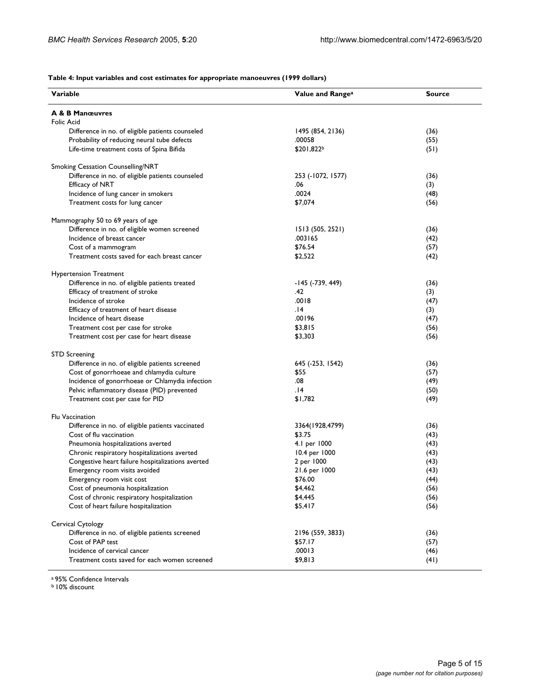# <span id="page-4-0"></span>**Table 4: Input variables and cost estimates for appropriate manoeuvres (1999 dollars)**

| Variable                                          | Value and Range <sup>a</sup> | <b>Source</b> |
|---------------------------------------------------|------------------------------|---------------|
| A & B Manœuvres                                   |                              |               |
| <b>Folic Acid</b>                                 |                              |               |
| Difference in no. of eligible patients counseled  | 1495 (854, 2136)             | (36)          |
| Probability of reducing neural tube defects       | .00058                       | (55)          |
| Life-time treatment costs of Spina Bifida         | \$201,822b                   | (51)          |
| Smoking Cessation Counselling/NRT                 |                              |               |
| Difference in no. of eligible patients counseled  | 253 (-1072, 1577)            | (36)          |
| Efficacy of NRT                                   | .06                          | (3)           |
| Incidence of lung cancer in smokers               | .0024                        | (48)          |
| Treatment costs for lung cancer                   | \$7,074                      | (56)          |
| Mammography 50 to 69 years of age                 |                              |               |
| Difference in no. of eligible women screened      | 1513 (505, 2521)             | (36)          |
| Incidence of breast cancer                        | .003165                      | (42)          |
| Cost of a mammogram                               | \$76.54                      | (57)          |
| Treatment costs saved for each breast cancer      | \$2,522                      | (42)          |
|                                                   |                              |               |
| <b>Hypertension Treatment</b>                     |                              |               |
| Difference in no. of eligible patients treated    | -145 (-739, 449)             | (36)          |
| Efficacy of treatment of stroke                   | .42                          | (3)           |
| Incidence of stroke                               | .0018                        | (47)          |
| Efficacy of treatment of heart disease            | .14                          | (3)           |
| Incidence of heart disease                        | .00196                       | (47)          |
| Treatment cost per case for stroke                | \$3,815                      | (56)          |
| Treatment cost per case for heart disease         | \$3,303                      | (56)          |
| <b>STD Screening</b>                              |                              |               |
| Difference in no. of eligible patients screened   | 645 (-253, 1542)             | (36)          |
| Cost of gonorrhoeae and chlamydia culture         | \$55                         | (57)          |
| Incidence of gonorrhoeae or Chlamydia infection   | .08                          | (49)          |
| Pelvic inflammatory disease (PID) prevented       | 14.                          | (50)          |
| Treatment cost per case for PID                   | \$1,782                      | (49)          |
| <b>Flu Vaccination</b>                            |                              |               |
| Difference in no. of eligible patients vaccinated | 3364(1928,4799)              | (36)          |
| Cost of flu vaccination                           | \$3.75                       | (43)          |
| Pneumonia hospitalizations averted                | 4.1 per 1000                 | (43)          |
| Chronic respiratory hospitalizations averted      | 10.4 per 1000                | (43)          |
| Congestive heart failure hospitalizations averted | 2 per 1000                   | (43)          |
| Emergency room visits avoided                     | 21.6 per 1000                | (43)          |
| Emergency room visit cost                         | \$76.00                      |               |
| Cost of pneumonia hospitalization                 |                              | (44)          |
|                                                   | \$4,462<br>\$4,445           | (56)          |
| Cost of chronic respiratory hospitalization       |                              | (56)          |
| Cost of heart failure hospitalization             | \$5,417                      | (56)          |
| Cervical Cytology                                 |                              |               |
| Difference in no. of eligible patients screened   | 2196 (559, 3833)             | (36)          |
| Cost of PAP test                                  | \$57.17                      | (57)          |
| Incidence of cervical cancer                      | .00013                       | (46)          |
| Treatment costs saved for each women screened     | \$9,813                      | (41)          |

a 95% Confidence Intervals

b 10% discount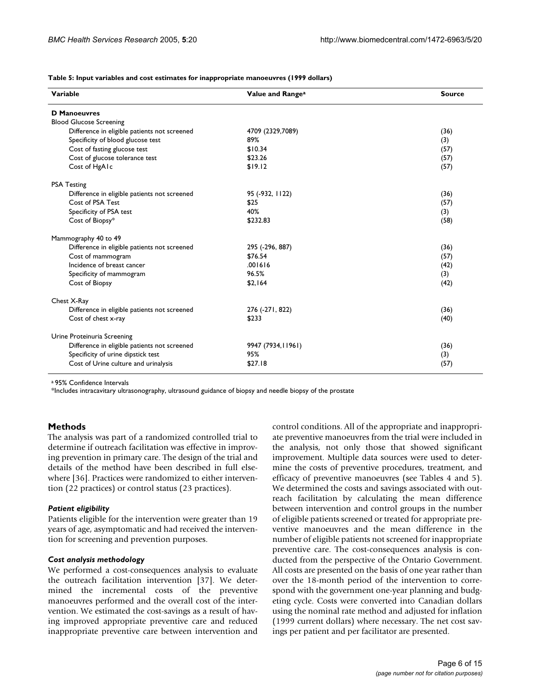| <b>Variable</b>                              | Value and Range <sup>a</sup> | <b>Source</b> |
|----------------------------------------------|------------------------------|---------------|
| <b>D</b> Manoeuvres                          |                              |               |
| <b>Blood Glucose Screening</b>               |                              |               |
| Difference in eligible patients not screened | 4709 (2329,7089)             | (36)          |
| Specificity of blood glucose test            | 89%                          | (3)           |
| Cost of fasting glucose test                 | \$10.34                      | (57)          |
| Cost of glucose tolerance test               | \$23.26                      | (57)          |
| Cost of HgA1c                                | \$19.12                      | (57)          |
| <b>PSA Testing</b>                           |                              |               |
| Difference in eligible patients not screened | 95 (-932, 1122)              | (36)          |
| Cost of PSA Test                             | \$25                         | (57)          |
| Specificity of PSA test                      | 40%                          | (3)           |
| Cost of Biopsy*                              | \$232.83                     | (58)          |
| Mammography 40 to 49                         |                              |               |
| Difference in eligible patients not screened | 295 (-296, 887)              | (36)          |
| Cost of mammogram                            | \$76.54                      | (57)          |
| Incidence of breast cancer                   | .001616                      | (42)          |
| Specificity of mammogram                     | 96.5%                        | (3)           |
| Cost of Biopsy                               | \$2,164                      | (42)          |
| Chest X-Ray                                  |                              |               |
| Difference in eligible patients not screened | 276 (-271, 822)              | (36)          |
| Cost of chest x-ray                          | \$233                        | (40)          |
| Urine Proteinuria Screening                  |                              |               |
| Difference in eligible patients not screened | 9947 (7934, I 1961)          | (36)          |
| Specificity of urine dipstick test           | 95%                          | (3)           |
| Cost of Urine culture and urinalysis         | \$27.18                      | (57)          |

<span id="page-5-0"></span>**Table 5: Input variables and cost estimates for inappropriate manoeuvres (1999 dollars)**

a 95% Confidence Intervals

\*Includes intracavitary ultrasonography, ultrasound guidance of biopsy and needle biopsy of the prostate

# **Methods**

The analysis was part of a randomized controlled trial to determine if outreach facilitation was effective in improving prevention in primary care. The design of the trial and details of the method have been described in full elsewhere [36]. Practices were randomized to either intervention (22 practices) or control status (23 practices).

#### *Patient eligibility*

Patients eligible for the intervention were greater than 19 years of age, asymptomatic and had received the intervention for screening and prevention purposes.

#### *Cost analysis methodology*

We performed a cost-consequences analysis to evaluate the outreach facilitation intervention [37]. We determined the incremental costs of the preventive manoeuvres performed and the overall cost of the intervention. We estimated the cost-savings as a result of having improved appropriate preventive care and reduced inappropriate preventive care between intervention and control conditions. All of the appropriate and inappropriate preventive manoeuvres from the trial were included in the analysis, not only those that showed significant improvement. Multiple data sources were used to determine the costs of preventive procedures, treatment, and efficacy of preventive manoeuvres (see Tables [4](#page-4-0) and [5\)](#page-5-0). We determined the costs and savings associated with outreach facilitation by calculating the mean difference between intervention and control groups in the number of eligible patients screened or treated for appropriate preventive manoeuvres and the mean difference in the number of eligible patients not screened for inappropriate preventive care. The cost-consequences analysis is conducted from the perspective of the Ontario Government. All costs are presented on the basis of one year rather than over the 18-month period of the intervention to correspond with the government one-year planning and budgeting cycle. Costs were converted into Canadian dollars using the nominal rate method and adjusted for inflation (1999 current dollars) where necessary. The net cost savings per patient and per facilitator are presented.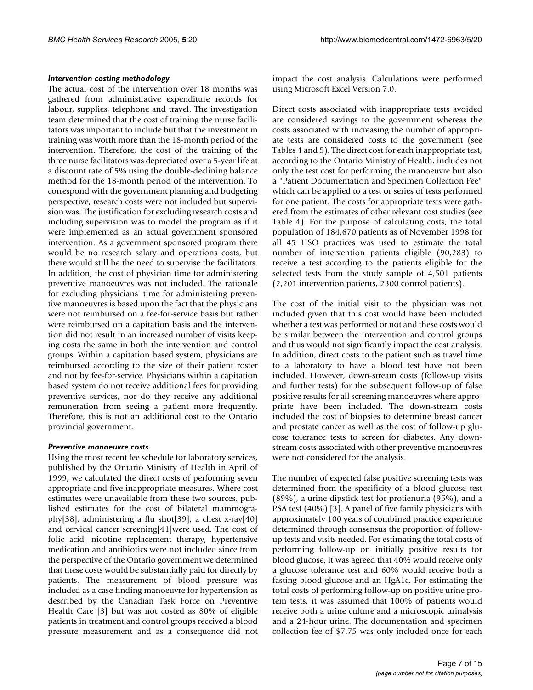#### *Intervention costing methodology*

The actual cost of the intervention over 18 months was gathered from administrative expenditure records for labour, supplies, telephone and travel. The investigation team determined that the cost of training the nurse facilitators was important to include but that the investment in training was worth more than the 18-month period of the intervention. Therefore, the cost of the training of the three nurse facilitators was depreciated over a 5-year life at a discount rate of 5% using the double-declining balance method for the 18-month period of the intervention. To correspond with the government planning and budgeting perspective, research costs were not included but supervision was. The justification for excluding research costs and including supervision was to model the program as if it were implemented as an actual government sponsored intervention. As a government sponsored program there would be no research salary and operations costs, but there would still be the need to supervise the facilitators. In addition, the cost of physician time for administering preventive manoeuvres was not included. The rationale for excluding physicians' time for administering preventive manoeuvres is based upon the fact that the physicians were not reimbursed on a fee-for-service basis but rather were reimbursed on a capitation basis and the intervention did not result in an increased number of visits keeping costs the same in both the intervention and control groups. Within a capitation based system, physicians are reimbursed according to the size of their patient roster and not by fee-for-service. Physicians within a capitation based system do not receive additional fees for providing preventive services, nor do they receive any additional remuneration from seeing a patient more frequently. Therefore, this is not an additional cost to the Ontario provincial government.

#### *Preventive manoeuvre costs*

Using the most recent fee schedule for laboratory services, published by the Ontario Ministry of Health in April of 1999, we calculated the direct costs of performing seven appropriate and five inappropriate measures. Where cost estimates were unavailable from these two sources, published estimates for the cost of bilateral mammography[38], administering a flu shot[39], a chest x-ray[40] and cervical cancer screening[41]were used. The cost of folic acid, nicotine replacement therapy, hypertensive medication and antibiotics were not included since from the perspective of the Ontario government we determined that these costs would be substantially paid for directly by patients. The measurement of blood pressure was included as a case finding manoeuvre for hypertension as described by the Canadian Task Force on Preventive Health Care [3] but was not costed as 80% of eligible patients in treatment and control groups received a blood pressure measurement and as a consequence did not impact the cost analysis. Calculations were performed using Microsoft Excel Version 7.0.

Direct costs associated with inappropriate tests avoided are considered savings to the government whereas the costs associated with increasing the number of appropriate tests are considered costs to the government (see Tables [4](#page-4-0) and [5](#page-5-0)). The direct cost for each inappropriate test, according to the Ontario Ministry of Health, includes not only the test cost for performing the manoeuvre but also a "Patient Documentation and Specimen Collection Fee" which can be applied to a test or series of tests performed for one patient. The costs for appropriate tests were gathered from the estimates of other relevant cost studies (see Table [4](#page-4-0)). For the purpose of calculating costs, the total population of 184,670 patients as of November 1998 for all 45 HSO practices was used to estimate the total number of intervention patients eligible (90,283) to receive a test according to the patients eligible for the selected tests from the study sample of 4,501 patients (2,201 intervention patients, 2300 control patients).

The cost of the initial visit to the physician was not included given that this cost would have been included whether a test was performed or not and these costs would be similar between the intervention and control groups and thus would not significantly impact the cost analysis. In addition, direct costs to the patient such as travel time to a laboratory to have a blood test have not been included. However, down-stream costs (follow-up visits and further tests) for the subsequent follow-up of false positive results for all screening manoeuvres where appropriate have been included. The down-stream costs included the cost of biopsies to determine breast cancer and prostate cancer as well as the cost of follow-up glucose tolerance tests to screen for diabetes. Any downstream costs associated with other preventive manoeuvres were not considered for the analysis.

The number of expected false positive screening tests was determined from the specificity of a blood glucose test (89%), a urine dipstick test for protienuria (95%), and a PSA test (40%) [3]. A panel of five family physicians with approximately 100 years of combined practice experience determined through consensus the proportion of followup tests and visits needed. For estimating the total costs of performing follow-up on initially positive results for blood glucose, it was agreed that 40% would receive only a glucose tolerance test and 60% would receive both a fasting blood glucose and an HgA1c. For estimating the total costs of performing follow-up on positive urine protein tests, it was assumed that 100% of patients would receive both a urine culture and a microscopic urinalysis and a 24-hour urine. The documentation and specimen collection fee of \$7.75 was only included once for each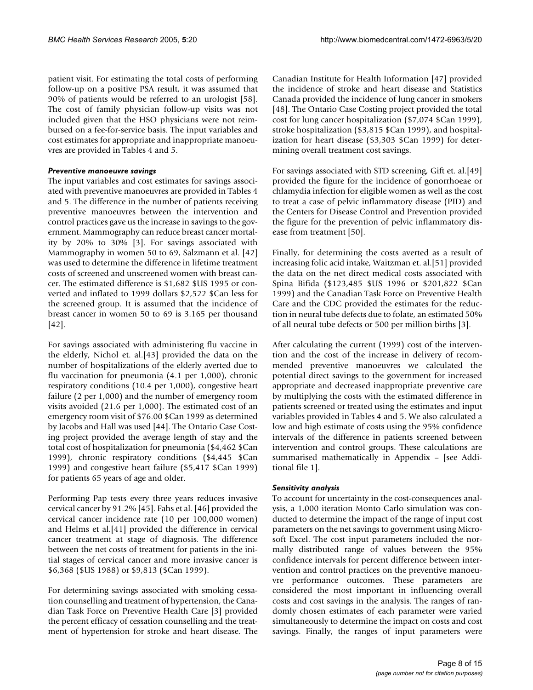patient visit. For estimating the total costs of performing follow-up on a positive PSA result, it was assumed that 90% of patients would be referred to an urologist [58]. The cost of family physician follow-up visits was not included given that the HSO physicians were not reimbursed on a fee-for-service basis. The input variables and cost estimates for appropriate and inappropriate manoeuvres are provided in Tables [4](#page-4-0) and [5.](#page-5-0)

#### *Preventive manoeuvre savings*

The input variables and cost estimates for savings associated with preventive manoeuvres are provided in Tables [4](#page-4-0) and [5](#page-5-0). The difference in the number of patients receiving preventive manoeuvres between the intervention and control practices gave us the increase in savings to the government. Mammography can reduce breast cancer mortality by 20% to 30% [3]. For savings associated with Mammography in women 50 to 69, Salzmann et al. [42] was used to determine the difference in lifetime treatment costs of screened and unscreened women with breast cancer. The estimated difference is \$1,682 \$US 1995 or converted and inflated to 1999 dollars \$2,522 \$Can less for the screened group. It is assumed that the incidence of breast cancer in women 50 to 69 is 3.165 per thousand [42].

For savings associated with administering flu vaccine in the elderly, Nichol et. al.[43] provided the data on the number of hospitalizations of the elderly averted due to flu vaccination for pneumonia (4.1 per 1,000), chronic respiratory conditions (10.4 per 1,000), congestive heart failure (2 per 1,000) and the number of emergency room visits avoided (21.6 per 1,000). The estimated cost of an emergency room visit of \$76.00 \$Can 1999 as determined by Jacobs and Hall was used [44]. The Ontario Case Costing project provided the average length of stay and the total cost of hospitalization for pneumonia (\$4,462 \$Can 1999), chronic respiratory conditions (\$4,445 \$Can 1999) and congestive heart failure (\$5,417 \$Can 1999) for patients 65 years of age and older.

Performing Pap tests every three years reduces invasive cervical cancer by 91.2% [45]. Fahs et al. [46] provided the cervical cancer incidence rate (10 per 100,000 women) and Helms et al.[41] provided the difference in cervical cancer treatment at stage of diagnosis. The difference between the net costs of treatment for patients in the initial stages of cervical cancer and more invasive cancer is \$6,368 (\$US 1988) or \$9,813 (\$Can 1999).

For determining savings associated with smoking cessation counselling and treatment of hypertension, the Canadian Task Force on Preventive Health Care [3] provided the percent efficacy of cessation counselling and the treatment of hypertension for stroke and heart disease. The Canadian Institute for Health Information [47] provided the incidence of stroke and heart disease and Statistics Canada provided the incidence of lung cancer in smokers [48]. The Ontario Case Costing project provided the total cost for lung cancer hospitalization (\$7,074 \$Can 1999), stroke hospitalization (\$3,815 \$Can 1999), and hospitalization for heart disease (\$3,303 \$Can 1999) for determining overall treatment cost savings.

For savings associated with STD screening, Gift et. al.[49] provided the figure for the incidence of gonorrhoeae or chlamydia infection for eligible women as well as the cost to treat a case of pelvic inflammatory disease (PID) and the Centers for Disease Control and Prevention provided the figure for the prevention of pelvic inflammatory disease from treatment [50].

Finally, for determining the costs averted as a result of increasing folic acid intake, Waitzman et. al.[51] provided the data on the net direct medical costs associated with Spina Bifida (\$123,485 \$US 1996 or \$201,822 \$Can 1999) and the Canadian Task Force on Preventive Health Care and the CDC provided the estimates for the reduction in neural tube defects due to folate, an estimated 50% of all neural tube defects or 500 per million births [3].

After calculating the current (1999) cost of the intervention and the cost of the increase in delivery of recommended preventive manoeuvres we calculated the potential direct savings to the government for increased appropriate and decreased inappropriate preventive care by multiplying the costs with the estimated difference in patients screened or treated using the estimates and input variables provided in Tables [4](#page-4-0) and [5.](#page-5-0) We also calculated a low and high estimate of costs using the 95% confidence intervals of the difference in patients screened between intervention and control groups. These calculations are summarised mathematically in Appendix – [see Additional file 1].

# *Sensitivity analysis*

To account for uncertainty in the cost-consequences analysis, a 1,000 iteration Monto Carlo simulation was conducted to determine the impact of the range of input cost parameters on the net savings to government using Microsoft Excel. The cost input parameters included the normally distributed range of values between the 95% confidence intervals for percent difference between intervention and control practices on the preventive manoeuvre performance outcomes. These parameters are considered the most important in influencing overall costs and cost savings in the analysis. The ranges of randomly chosen estimates of each parameter were varied simultaneously to determine the impact on costs and cost savings. Finally, the ranges of input parameters were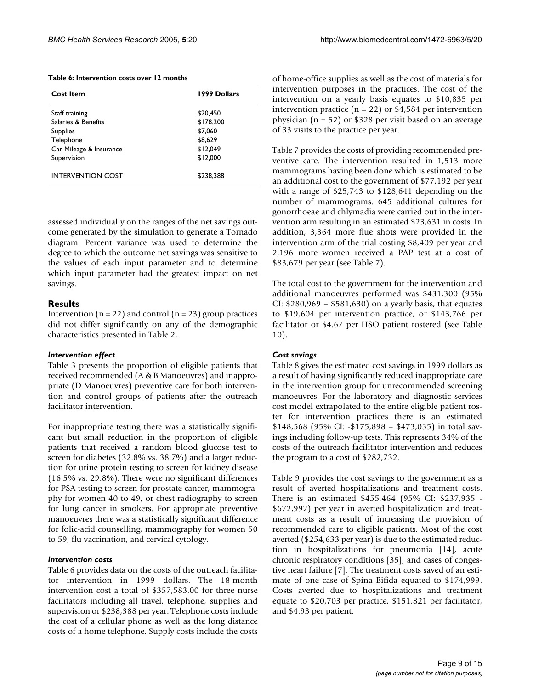#### **Table 6: Intervention costs over 12 months**

| <b>Cost Item</b>        | 1999 Dollars |
|-------------------------|--------------|
| Staff training          | \$20,450     |
| Salaries & Benefits     | \$178,200    |
| <b>Supplies</b>         | \$7,060      |
| Telephone               | \$8,629      |
| Car Mileage & Insurance | \$12,049     |
| Supervision             | \$12,000     |
|                         |              |
| INTERVENTION COST       | \$238,388    |
|                         |              |

assessed individually on the ranges of the net savings outcome generated by the simulation to generate a Tornado diagram. Percent variance was used to determine the degree to which the outcome net savings was sensitive to the values of each input parameter and to determine which input parameter had the greatest impact on net savings.

# **Results**

Intervention ( $n = 22$ ) and control ( $n = 23$ ) group practices did not differ significantly on any of the demographic characteristics presented in Table [2](#page-3-0).

#### *Intervention effect*

Table [3](#page-3-1) presents the proportion of eligible patients that received recommended (A & B Manoeuvres) and inappropriate (D Manoeuvres) preventive care for both intervention and control groups of patients after the outreach facilitator intervention.

For inappropriate testing there was a statistically significant but small reduction in the proportion of eligible patients that received a random blood glucose test to screen for diabetes (32.8% vs. 38.7%) and a larger reduction for urine protein testing to screen for kidney disease (16.5% vs. 29.8%). There were no significant differences for PSA testing to screen for prostate cancer, mammography for women 40 to 49, or chest radiography to screen for lung cancer in smokers. For appropriate preventive manoeuvres there was a statistically significant difference for folic-acid counselling, mammography for women 50 to 59, flu vaccination, and cervical cytology.

#### *Intervention costs*

Table 6 provides data on the costs of the outreach facilitator intervention in 1999 dollars. The 18-month intervention cost a total of \$357,583.00 for three nurse facilitators including all travel, telephone, supplies and supervision or \$238,388 per year. Telephone costs include the cost of a cellular phone as well as the long distance costs of a home telephone. Supply costs include the costs of home-office supplies as well as the cost of materials for intervention purposes in the practices. The cost of the intervention on a yearly basis equates to \$10,835 per intervention practice ( $n = 22$ ) or \$4,584 per intervention physician (n = 52) or \$328 per visit based on an average of 33 visits to the practice per year.

Table [7](#page-9-0) provides the costs of providing recommended preventive care. The intervention resulted in 1,513 more mammograms having been done which is estimated to be an additional cost to the government of \$77,192 per year with a range of \$25,743 to \$128,641 depending on the number of mammograms. 645 additional cultures for gonorrhoeae and chlymadia were carried out in the intervention arm resulting in an estimated \$23,631 in costs. In addition, 3,364 more flue shots were provided in the intervention arm of the trial costing \$8,409 per year and 2,196 more women received a PAP test at a cost of \$83,679 per year (see Table [7\)](#page-9-0).

The total cost to the government for the intervention and additional manoeuvres performed was \$431,300 (95% CI: \$280,969 – \$581,630) on a yearly basis, that equates to \$19,604 per intervention practice, or \$143,766 per facilitator or \$4.67 per HSO patient rostered (see Table [10\)](#page-9-1).

# *Cost savings*

Table [8](#page-9-2) gives the estimated cost savings in 1999 dollars as a result of having significantly reduced inappropriate care in the intervention group for unrecommended screening manoeuvres. For the laboratory and diagnostic services cost model extrapolated to the entire eligible patient roster for intervention practices there is an estimated \$148,568 (95% CI: -\$175,898 – \$473,035) in total savings including follow-up tests. This represents 34% of the costs of the outreach facilitator intervention and reduces the program to a cost of \$282,732.

Table [9](#page-9-3) provides the cost savings to the government as a result of averted hospitalizations and treatment costs. There is an estimated \$455,464 (95% CI: \$237,935 - \$672,992) per year in averted hospitalization and treatment costs as a result of increasing the provision of recommended care to eligible patients. Most of the cost averted (\$254,633 per year) is due to the estimated reduction in hospitalizations for pneumonia [14], acute chronic respiratory conditions [35], and cases of congestive heart failure [7]. The treatment costs saved of an estimate of one case of Spina Bifida equated to \$174,999. Costs averted due to hospitalizations and treatment equate to \$20,703 per practice, \$151,821 per facilitator, and \$4.93 per patient.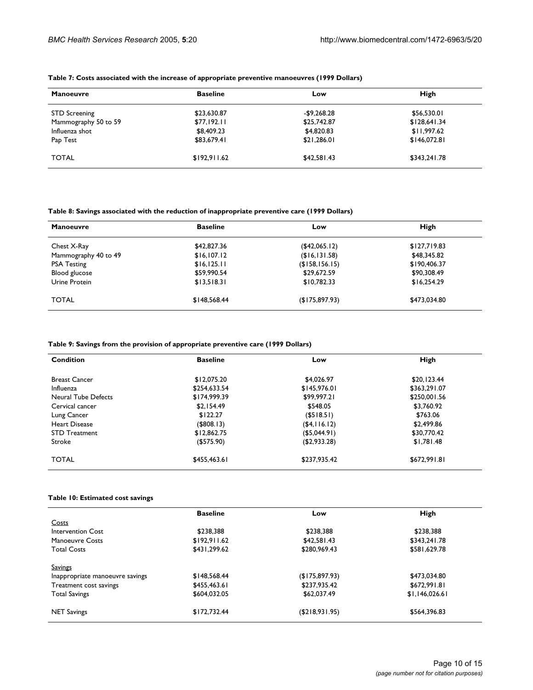| <b>Manoeuvre</b>     | <b>Baseline</b> | Low         | High         |
|----------------------|-----------------|-------------|--------------|
| <b>STD Screening</b> | \$23,630.87     | -\$9,268.28 | \$56,530.01  |
| Mammography 50 to 59 | \$77,192.11     | \$25,742.87 | \$128,641.34 |
| Influenza shot       | \$8,409.23      | \$4,820.83  | \$11,997.62  |
| Pap Test             | \$83,679.41     | \$21,286.01 | \$146,072.81 |
| <b>TOTAL</b>         | \$192,911.62    | \$42,581.43 | \$343,241.78 |

#### <span id="page-9-0"></span>**Table 7: Costs associated with the increase of appropriate preventive manoeuvres (1999 Dollars)**

#### <span id="page-9-2"></span>**Table 8: Savings associated with the reduction of inappropriate preventive care (1999 Dollars)**

| <b>Manoeuvre</b>     | <b>Baseline</b> | Low             | High         |
|----------------------|-----------------|-----------------|--------------|
| Chest X-Ray          | \$42,827.36     | (\$42,065.12)   | \$127,719.83 |
| Mammography 40 to 49 | \$16,107.12     | (\$16,131.58)   | \$48,345.82  |
| <b>PSA Testing</b>   | \$16,125.11     | (\$158, 156.15) | \$190,406.37 |
| Blood glucose        | \$59,990.54     | \$29,672.59     | \$90,308.49  |
| Urine Protein        | \$13.518.31     | \$10,782.33     | \$16,254.29  |
| <b>TOTAL</b>         | \$148,568.44    | (\$175,897.93)  | \$473,034.80 |

# <span id="page-9-3"></span>**Table 9: Savings from the provision of appropriate preventive care (1999 Dollars)**

| Condition                  | <b>Baseline</b> | Low           | High         |
|----------------------------|-----------------|---------------|--------------|
| <b>Breast Cancer</b>       | \$12,075.20     | \$4,026.97    | \$20.123.44  |
| Influenza                  | \$254,633.54    | \$145,976.01  | \$363,291.07 |
| <b>Neural Tube Defects</b> | \$174,999.39    | \$99,997.21   | \$250,001.56 |
| Cervical cancer            | \$2.154.49      | \$548.05      | \$3,760.92   |
| Lung Cancer                | \$122.27        | $($ \$518.51) | \$763.06     |
| Heart Disease              | (\$808.13)      | (\$4,116.12)  | \$2,499.86   |
| <b>STD Treatment</b>       | \$12,862.75     | (\$5,044.91)  | \$30,770.42  |
| Stroke                     | $($ \$575.90)   | (\$2,933.28)  | \$1,781.48   |
| <b>TOTAL</b>               | \$455,463.61    | \$237,935.42  | \$672,991.81 |

#### <span id="page-9-1"></span>**Table 10: Estimated cost savings**

|                                 | <b>Baseline</b> | Low            | High           |
|---------------------------------|-----------------|----------------|----------------|
| Costs                           |                 |                |                |
| Intervention Cost               | \$238,388       | \$238,388      | \$238,388      |
| Manoeuvre Costs                 | \$192.911.62    | \$42,581.43    | \$343,241.78   |
| <b>Total Costs</b>              | \$431,299.62    | \$280,969.43   | \$581,629.78   |
| <b>Savings</b>                  |                 |                |                |
| Inappropriate manoeuvre savings | \$148,568.44    | (\$175,897.93) | \$473,034.80   |
| Treatment cost savings          | \$455,463.61    | \$237,935.42   | \$672,991.81   |
| <b>Total Savings</b>            | \$604,032.05    | \$62,037.49    | \$1,146,026.61 |
| <b>NET</b> Savings              | \$172,732.44    | (\$218,931.95) | \$564,396.83   |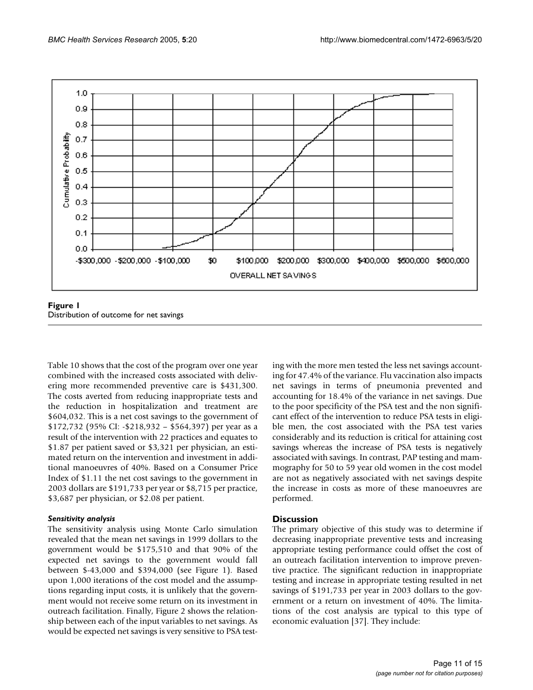



Table [10](#page-9-1) shows that the cost of the program over one year combined with the increased costs associated with delivering more recommended preventive care is \$431,300. The costs averted from reducing inappropriate tests and the reduction in hospitalization and treatment are \$604,032. This is a net cost savings to the government of \$172,732 (95% CI: -\$218,932 – \$564,397) per year as a result of the intervention with 22 practices and equates to \$1.87 per patient saved or \$3,321 per physician, an estimated return on the intervention and investment in additional manoeuvres of 40%. Based on a Consumer Price Index of \$1.11 the net cost savings to the government in 2003 dollars are \$191,733 per year or \$8,715 per practice, \$3,687 per physician, or \$2.08 per patient.

# *Sensitivity analysis*

The sensitivity analysis using Monte Carlo simulation revealed that the mean net savings in 1999 dollars to the government would be \$175,510 and that 90% of the expected net savings to the government would fall between \$-43,000 and \$394,000 (see Figure 1). Based upon 1,000 iterations of the cost model and the assumptions regarding input costs, it is unlikely that the government would not receive some return on its investment in outreach facilitation. Finally, Figure 2 shows the relationship between each of the input variables to net savings. As would be expected net savings is very sensitive to PSA testing with the more men tested the less net savings accounting for 47.4% of the variance. Flu vaccination also impacts net savings in terms of pneumonia prevented and accounting for 18.4% of the variance in net savings. Due to the poor specificity of the PSA test and the non significant effect of the intervention to reduce PSA tests in eligible men, the cost associated with the PSA test varies considerably and its reduction is critical for attaining cost savings whereas the increase of PSA tests is negatively associated with savings. In contrast, PAP testing and mammography for 50 to 59 year old women in the cost model are not as negatively associated with net savings despite the increase in costs as more of these manoeuvres are performed.

# **Discussion**

The primary objective of this study was to determine if decreasing inappropriate preventive tests and increasing appropriate testing performance could offset the cost of an outreach facilitation intervention to improve preventive practice. The significant reduction in inappropriate testing and increase in appropriate testing resulted in net savings of \$191,733 per year in 2003 dollars to the government or a return on investment of 40%. The limitations of the cost analysis are typical to this type of economic evaluation [37]. They include: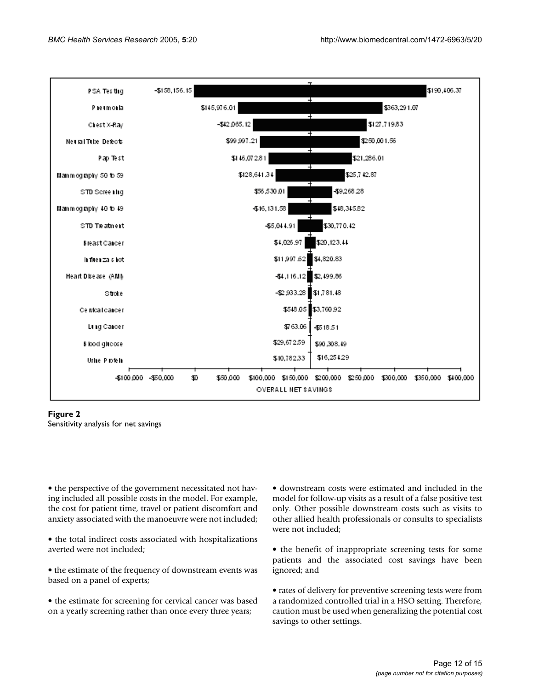

**Figure 2** Sensitivity analysis for net savings

• the perspective of the government necessitated not having included all possible costs in the model. For example, the cost for patient time, travel or patient discomfort and anxiety associated with the manoeuvre were not included;

- the total indirect costs associated with hospitalizations averted were not included;
- the estimate of the frequency of downstream events was based on a panel of experts;
- the estimate for screening for cervical cancer was based on a yearly screening rather than once every three years;

• downstream costs were estimated and included in the model for follow-up visits as a result of a false positive test only. Other possible downstream costs such as visits to other allied health professionals or consults to specialists were not included;

• the benefit of inappropriate screening tests for some patients and the associated cost savings have been ignored; and

• rates of delivery for preventive screening tests were from a randomized controlled trial in a HSO setting. Therefore, caution must be used when generalizing the potential cost savings to other settings.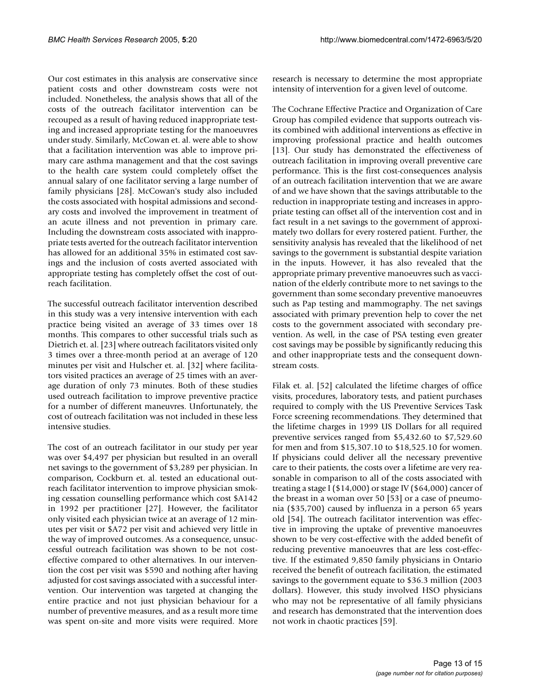Our cost estimates in this analysis are conservative since patient costs and other downstream costs were not included. Nonetheless, the analysis shows that all of the costs of the outreach facilitator intervention can be recouped as a result of having reduced inappropriate testing and increased appropriate testing for the manoeuvres under study. Similarly, McCowan et. al. were able to show that a facilitation intervention was able to improve primary care asthma management and that the cost savings to the health care system could completely offset the annual salary of one facilitator serving a large number of family physicians [28]. McCowan's study also included the costs associated with hospital admissions and secondary costs and involved the improvement in treatment of an acute illness and not prevention in primary care. Including the downstream costs associated with inappropriate tests averted for the outreach facilitator intervention has allowed for an additional 35% in estimated cost savings and the inclusion of costs averted associated with appropriate testing has completely offset the cost of outreach facilitation.

The successful outreach facilitator intervention described in this study was a very intensive intervention with each practice being visited an average of 33 times over 18 months. This compares to other successful trials such as Dietrich et. al. [23] where outreach facilitators visited only 3 times over a three-month period at an average of 120 minutes per visit and Hulscher et. al. [32] where facilitators visited practices an average of 25 times with an average duration of only 73 minutes. Both of these studies used outreach facilitation to improve preventive practice for a number of different maneuvres. Unfortunately, the cost of outreach facilitation was not included in these less intensive studies.

The cost of an outreach facilitator in our study per year was over \$4,497 per physician but resulted in an overall net savings to the government of \$3,289 per physician. In comparison, Cockburn et. al. tested an educational outreach facilitator intervention to improve physician smoking cessation counselling performance which cost \$A142 in 1992 per practitioner [27]. However, the facilitator only visited each physician twice at an average of 12 minutes per visit or \$A72 per visit and achieved very little in the way of improved outcomes. As a consequence, unsuccessful outreach facilitation was shown to be not costeffective compared to other alternatives. In our intervention the cost per visit was \$590 and nothing after having adjusted for cost savings associated with a successful intervention. Our intervention was targeted at changing the entire practice and not just physician behaviour for a number of preventive measures, and as a result more time was spent on-site and more visits were required. More research is necessary to determine the most appropriate intensity of intervention for a given level of outcome.

The Cochrane Effective Practice and Organization of Care Group has compiled evidence that supports outreach visits combined with additional interventions as effective in improving professional practice and health outcomes [13]. Our study has demonstrated the effectiveness of outreach facilitation in improving overall preventive care performance. This is the first cost-consequences analysis of an outreach facilitation intervention that we are aware of and we have shown that the savings attributable to the reduction in inappropriate testing and increases in appropriate testing can offset all of the intervention cost and in fact result in a net savings to the government of approximately two dollars for every rostered patient. Further, the sensitivity analysis has revealed that the likelihood of net savings to the government is substantial despite variation in the inputs. However, it has also revealed that the appropriate primary preventive manoeuvres such as vaccination of the elderly contribute more to net savings to the government than some secondary preventive manoeuvres such as Pap testing and mammography. The net savings associated with primary prevention help to cover the net costs to the government associated with secondary prevention. As well, in the case of PSA testing even greater cost savings may be possible by significantly reducing this and other inappropriate tests and the consequent downstream costs.

Filak et. al. [52] calculated the lifetime charges of office visits, procedures, laboratory tests, and patient purchases required to comply with the US Preventive Services Task Force screening recommendations. They determined that the lifetime charges in 1999 US Dollars for all required preventive services ranged from \$5,432.60 to \$7,529.60 for men and from \$15,307.10 to \$18,525.10 for women. If physicians could deliver all the necessary preventive care to their patients, the costs over a lifetime are very reasonable in comparison to all of the costs associated with treating a stage I (\$14,000) or stage IV (\$64,000) cancer of the breast in a woman over 50 [53] or a case of pneumonia (\$35,700) caused by influenza in a person 65 years old [54]. The outreach facilitator intervention was effective in improving the uptake of preventive manoeuvres shown to be very cost-effective with the added benefit of reducing preventive manoeuvres that are less cost-effective. If the estimated 9,850 family physicians in Ontario received the benefit of outreach facilitation, the estimated savings to the government equate to \$36.3 million (2003 dollars). However, this study involved HSO physicians who may not be representative of all family physicians and research has demonstrated that the intervention does not work in chaotic practices [59].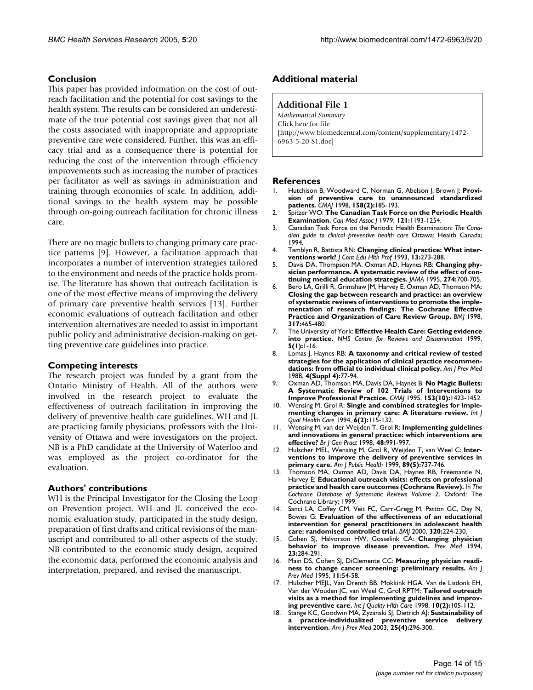# **Conclusion**

This paper has provided information on the cost of outreach facilitation and the potential for cost savings to the health system. The results can be considered an underestimate of the true potential cost savings given that not all the costs associated with inappropriate and appropriate preventive care were considered. Further, this was an efficacy trial and as a consequence there is potential for reducing the cost of the intervention through efficiency improvements such as increasing the number of practices per facilitator as well as savings in administration and training through economies of scale. In addition, additional savings to the health system may be possible through on-going outreach facilitation for chronic illness care.

There are no magic bullets to changing primary care practice patterns [9]. However, a facilitation approach that incorporates a number of intervention strategies tailored to the environment and needs of the practice holds promise. The literature has shown that outreach facilitation is one of the most effective means of improving the delivery of primary care preventive health services [13]. Further economic evaluations of outreach facilitation and other intervention alternatives are needed to assist in important public policy and administrative decision-making on getting preventive care guidelines into practice.

#### **Competing interests**

The research project was funded by a grant from the Ontario Ministry of Health. All of the authors were involved in the research project to evaluate the effectiveness of outreach facilitation in improving the delivery of preventive health care guidelines. WH and JL are practicing family physicians, professors with the University of Ottawa and were investigators on the project. NB is a PhD candidate at the University of Waterloo and was employed as the project co-ordinator for the evaluation.

# **Authors' contributions**

WH is the Principal Investigator for the Closing the Loop on Prevention project. WH and JL conceived the economic evaluation study, participated in the study design, preparation of first drafts and critical revisions of the manuscript and contributed to all other aspects of the study. NB contributed to the economic study design, acquired the economic data, performed the economic analysis and interpretation, prepared, and revised the manuscript.

# **Additional material**

# **Additional File 1**

*Mathematical Summary* Click here for file [\[http://www.biomedcentral.com/content/supplementary/1472-](http://www.biomedcentral.com/content/supplementary/1472-6963-5-20-S1.doc) 6963-5-20-S1.doc]

#### **References**

- Hutchison B, Woodward C, Norman G, Abelson J, Brown J: [Provi](http://www.ncbi.nlm.nih.gov/entrez/query.fcgi?cmd=Retrieve&db=PubMed&dopt=Abstract&list_uids=9469139)**[sion of preventive care to unannounced standardized](http://www.ncbi.nlm.nih.gov/entrez/query.fcgi?cmd=Retrieve&db=PubMed&dopt=Abstract&list_uids=9469139) [patients.](http://www.ncbi.nlm.nih.gov/entrez/query.fcgi?cmd=Retrieve&db=PubMed&dopt=Abstract&list_uids=9469139)** *CMAJ* 1998, **158(2):**185-193.
- 2. Spitzer WO: **[The Canadian Task Force on the Periodic Health](http://www.ncbi.nlm.nih.gov/entrez/query.fcgi?cmd=Retrieve&db=PubMed&dopt=Abstract&list_uids=115569) [Examination.](http://www.ncbi.nlm.nih.gov/entrez/query.fcgi?cmd=Retrieve&db=PubMed&dopt=Abstract&list_uids=115569)** *Can Med Assoc J* 1979, **121:**1193-1254.
- 3. Canadian Task Force on the Periodic Health Examination: *The Canadian guide to clinical preventive health care* Ottawa: Health Canada; 1994.
- 4. Tamblyn R, Battista RN: **Changing clinical practice: What interventions work?** *J Cont Edu Hlth Prof* 1993, **13:**273-288.
- 5. Davis DA, Thompson MA, Oxman AD, Haynes RB: **[Changing phy](http://www.ncbi.nlm.nih.gov/entrez/query.fcgi?cmd=Retrieve&db=PubMed&dopt=Abstract&list_uids=7650822)[sician performance. A systematic review of the effect of con](http://www.ncbi.nlm.nih.gov/entrez/query.fcgi?cmd=Retrieve&db=PubMed&dopt=Abstract&list_uids=7650822)[tinuing medical education strategies.](http://www.ncbi.nlm.nih.gov/entrez/query.fcgi?cmd=Retrieve&db=PubMed&dopt=Abstract&list_uids=7650822)** *JAMA* 1995, **274:**700-705.
- 6. Bero LA, Grilli R, Grimshaw JM, Harvey E, Oxman AD, Thomson MA: **[Closing the gap between research and practice: an overview](http://www.ncbi.nlm.nih.gov/entrez/query.fcgi?cmd=Retrieve&db=PubMed&dopt=Abstract&list_uids=9703533) of systematic reviews of interventions to promote the implementation of research findings. The Cochrane Effective [Practice and Organization of Care Review Group.](http://www.ncbi.nlm.nih.gov/entrez/query.fcgi?cmd=Retrieve&db=PubMed&dopt=Abstract&list_uids=9703533)** *BMJ* 1998, **317:**465-480.
- 7. The University of York: **Effective Health Care: Getting evidence into practice.** *NHS Centre for Reviews and Dissemination* 1999, **5(1):**1-16.
- 8. Lomas J, Haynes RB: **A taxonomy and critical review of tested strategies for the application of clinical practice recommendations: from official to individual clinical policy.** *Am J Prev Med* 1988, **4(Suppl 4):**77-94.
- 9. Oxman AD, Thomson MA, Davis DA, Haynes B: **[No Magic Bullets:](http://www.ncbi.nlm.nih.gov/entrez/query.fcgi?cmd=Retrieve&db=PubMed&dopt=Abstract&list_uids=7585368) [A Systematic Review of 102 Trials of Interventions to](http://www.ncbi.nlm.nih.gov/entrez/query.fcgi?cmd=Retrieve&db=PubMed&dopt=Abstract&list_uids=7585368) [Improve Professional Practice.](http://www.ncbi.nlm.nih.gov/entrez/query.fcgi?cmd=Retrieve&db=PubMed&dopt=Abstract&list_uids=7585368)** *CMAJ* 1995, **153(10):**1423-1452.
- 10. Wensing M, Grol R: **[Single and combined strategies for imple](http://www.ncbi.nlm.nih.gov/entrez/query.fcgi?cmd=Retrieve&db=PubMed&dopt=Abstract&list_uids=7953212)[menting changes in primary care: A literature review.](http://www.ncbi.nlm.nih.gov/entrez/query.fcgi?cmd=Retrieve&db=PubMed&dopt=Abstract&list_uids=7953212)** *Int J Qual Health Care* 1994, **6(2):**115-132.
- 11. Wensing M, van der Weijden T, Grol R: **[Implementing guidelines](http://www.ncbi.nlm.nih.gov/entrez/query.fcgi?cmd=Retrieve&db=PubMed&dopt=Abstract&list_uids=9624774) [and innovations in general practice: which interventions are](http://www.ncbi.nlm.nih.gov/entrez/query.fcgi?cmd=Retrieve&db=PubMed&dopt=Abstract&list_uids=9624774) [effective?](http://www.ncbi.nlm.nih.gov/entrez/query.fcgi?cmd=Retrieve&db=PubMed&dopt=Abstract&list_uids=9624774)** *Br J Gen Pract* 1998, **48:**991-997.
- 12. Hulscher MEL, Wensing M, Grol R, Weijden T, van Weel C: **[Inter](http://www.ncbi.nlm.nih.gov/entrez/query.fcgi?cmd=Retrieve&db=PubMed&dopt=Abstract&list_uids=10224987)[ventions to improve the delivery of preventive services in](http://www.ncbi.nlm.nih.gov/entrez/query.fcgi?cmd=Retrieve&db=PubMed&dopt=Abstract&list_uids=10224987) [primary care.](http://www.ncbi.nlm.nih.gov/entrez/query.fcgi?cmd=Retrieve&db=PubMed&dopt=Abstract&list_uids=10224987)** *Am J Public Health* 1999, **89(5):**737-746.
- 13. Thomson MA, Oxman AD, Davis DA, Haynes RB, Freemantle N, Harvey E: **Educational outreach visits: effects on professional practice and health care outcomes (Cochrane Review).** In *The Cochrane Database of Systematic Reviews Volume 2*. Oxford: The Cochrane Library; 1999.
- 14. Sanci LA, Coffey CM, Veit FC, Carr-Gregg M, Patton GC, Day N, Bowes G: **[Evaluation of the effectiveness of an educational](http://www.ncbi.nlm.nih.gov/entrez/query.fcgi?cmd=Retrieve&db=PubMed&dopt=Abstract&list_uids=10642233) [intervention for general practitioners in adolescent health](http://www.ncbi.nlm.nih.gov/entrez/query.fcgi?cmd=Retrieve&db=PubMed&dopt=Abstract&list_uids=10642233) [care: randomised controlled trial.](http://www.ncbi.nlm.nih.gov/entrez/query.fcgi?cmd=Retrieve&db=PubMed&dopt=Abstract&list_uids=10642233)** *BMJ* 2000, **320:**224-230.
- 15. Cohen SJ, Halvorson HW, Gosselink CA: **[Changing physician](http://www.ncbi.nlm.nih.gov/entrez/query.fcgi?cmd=Retrieve&db=PubMed&dopt=Abstract&list_uids=8078848) [behavior to improve disease prevention.](http://www.ncbi.nlm.nih.gov/entrez/query.fcgi?cmd=Retrieve&db=PubMed&dopt=Abstract&list_uids=8078848)** *Prev Med* 1994, **23:**284-291.
- 16. Main DS, Cohen SJ, DiClemente CC: **[Measuring physician readi](http://www.ncbi.nlm.nih.gov/entrez/query.fcgi?cmd=Retrieve&db=PubMed&dopt=Abstract&list_uids=7748587)[ness to change cancer screening: preliminary results.](http://www.ncbi.nlm.nih.gov/entrez/query.fcgi?cmd=Retrieve&db=PubMed&dopt=Abstract&list_uids=7748587)** *Am J Prev Med* 1995, **11:**54-58.
- 17. Hulscher MEJL, Van Drenth BB, Mokkink HGA, Van de Lisdonk EH, Van der Wouden JC, van Weel C, Grol RPTM: **Tailored outreach visits as a method for implementing guidelines and improving preventive care.** *Int J Quality Hlth Care* 1998, **10(2):**105-112.
- 18. Stange KC, Goodwin MA, Zyzanski SJ, Dietrich AJ: **[Sustainability of](http://www.ncbi.nlm.nih.gov/entrez/query.fcgi?cmd=Retrieve&db=PubMed&dopt=Abstract&list_uids=14580630) [a practice-individualized preventive service delivery](http://www.ncbi.nlm.nih.gov/entrez/query.fcgi?cmd=Retrieve&db=PubMed&dopt=Abstract&list_uids=14580630) [intervention.](http://www.ncbi.nlm.nih.gov/entrez/query.fcgi?cmd=Retrieve&db=PubMed&dopt=Abstract&list_uids=14580630)** *Am J Prev Med* 2003, **25(4):**296-300.